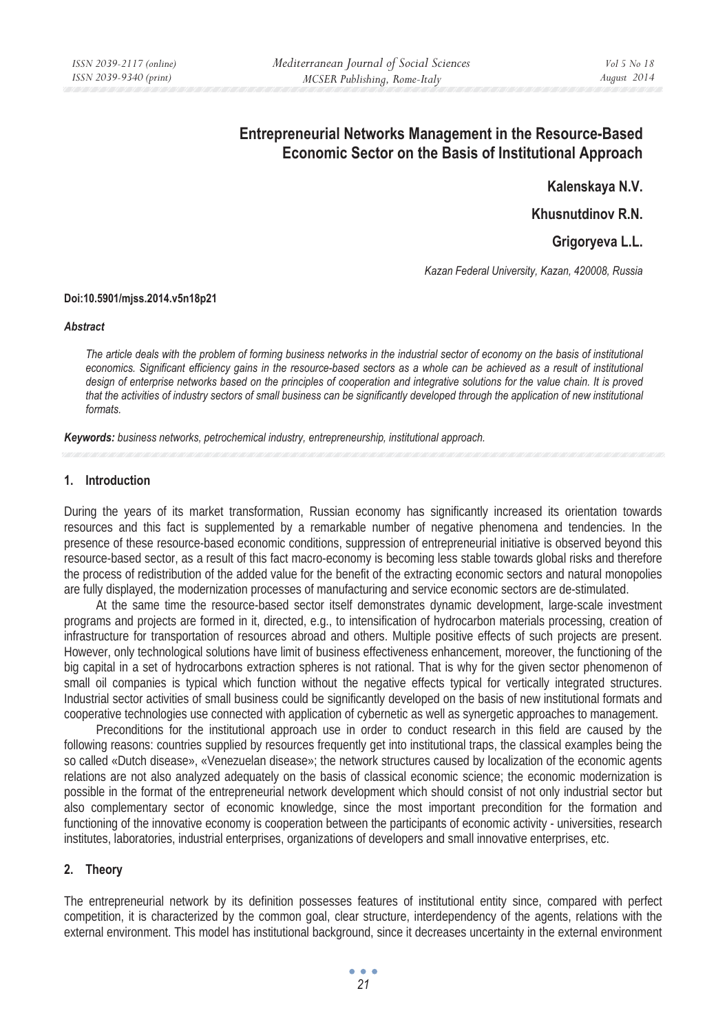# **Entrepreneurial Networks Management in the Resource-Based Economic Sector on the Basis of Institutional Approach**

**Kalenskaya N.V.** 

**Khusnutdinov R.N.** 

**Grigoryeva L.L.** 

*Kazan Federal University, Kazan, 420008, Russia* 

## **Doi:10.5901/mjss.2014.v5n18p21**

#### *Abstract*

*The article deals with the problem of forming business networks in the industrial sector of economy on the basis of institutional economics. Significant efficiency gains in the resource-based sectors as a whole can be achieved as a result of institutional*  design of enterprise networks based on the principles of cooperation and integrative solutions for the value chain. It is proved *that the activities of industry sectors of small business can be significantly developed through the application of new institutional formats.* 

*Keywords: business networks, petrochemical industry, entrepreneurship, institutional approach.* 

# **1. Introduction**

During the years of its market transformation, Russian economy has significantly increased its orientation towards resources and this fact is supplemented by a remarkable number of negative phenomena and tendencies. In the presence of these resource-based economic conditions, suppression of entrepreneurial initiative is observed beyond this resource-based sector, as a result of this fact macro-economy is becoming less stable towards global risks and therefore the process of redistribution of the added value for the benefit of the extracting economic sectors and natural monopolies are fully displayed, the modernization processes of manufacturing and service economic sectors are de-stimulated.

At the same time the resource-based sector itself demonstrates dynamic development, large-scale investment programs and projects are formed in it, directed, e.g., to intensification of hydrocarbon materials processing, creation of infrastructure for transportation of resources abroad and others. Multiple positive effects of such projects are present. However, only technological solutions have limit of business effectiveness enhancement, moreover, the functioning of the big capital in a set of hydrocarbons extraction spheres is not rational. That is why for the given sector phenomenon of small oil companies is typical which function without the negative effects typical for vertically integrated structures. Industrial sector activities of small business could be significantly developed on the basis of new institutional formats and cooperative technologies use connected with application of cybernetic as well as synergetic approaches to management.

Preconditions for the institutional approach use in order to conduct research in this field are caused by the following reasons: countries supplied by resources frequently get into institutional traps, the classical examples being the so called «Dutch disease», «Venezuelan disease»; the network structures caused by localization of the economic agents relations are not also analyzed adequately on the basis of classical economic science; the economic modernization is possible in the format of the entrepreneurial network development which should consist of not only industrial sector but also complementary sector of economic knowledge, since the most important precondition for the formation and functioning of the innovative economy is cooperation between the participants of economic activity - universities, research institutes, laboratories, industrial enterprises, organizations of developers and small innovative enterprises, etc.

# **2. Theory**

The entrepreneurial network by its definition possesses features of institutional entity since, compared with perfect competition, it is characterized by the common goal, clear structure, interdependency of the agents, relations with the external environment. This model has institutional background, since it decreases uncertainty in the external environment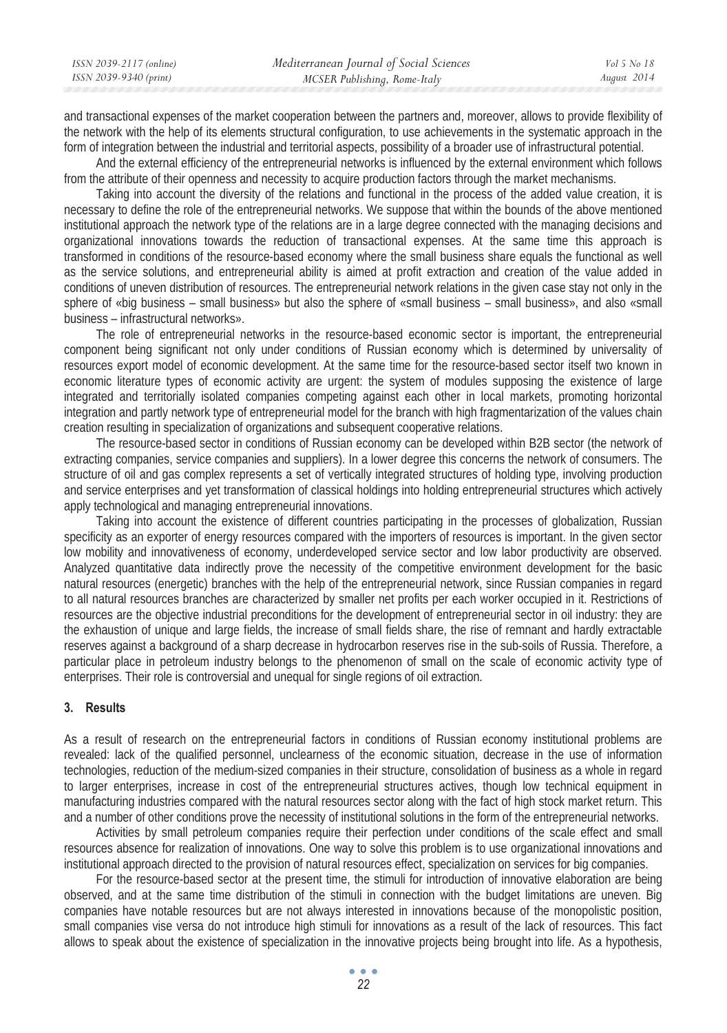| ISSN 2039-2117 (online) | Mediterranean Journal of Social Sciences | Vol 5 No 18 |
|-------------------------|------------------------------------------|-------------|
| ISSN 2039-9340 (print)  | MCSER Publishing, Rome-Italy             | August 2014 |

and transactional expenses of the market cooperation between the partners and, moreover, allows to provide flexibility of the network with the help of its elements structural configuration, to use achievements in the systematic approach in the form of integration between the industrial and territorial aspects, possibility of a broader use of infrastructural potential.

And the external efficiency of the entrepreneurial networks is influenced by the external environment which follows from the attribute of their openness and necessity to acquire production factors through the market mechanisms.

Taking into account the diversity of the relations and functional in the process of the added value creation, it is necessary to define the role of the entrepreneurial networks. We suppose that within the bounds of the above mentioned institutional approach the network type of the relations are in a large degree connected with the managing decisions and organizational innovations towards the reduction of transactional expenses. At the same time this approach is transformed in conditions of the resource-based economy where the small business share equals the functional as well as the service solutions, and entrepreneurial ability is aimed at profit extraction and creation of the value added in conditions of uneven distribution of resources. The entrepreneurial network relations in the given case stay not only in the sphere of «big business – small business» but also the sphere of «small business – small business», and also «small business – infrastructural networks».

The role of entrepreneurial networks in the resource-based economic sector is important, the entrepreneurial component being significant not only under conditions of Russian economy which is determined by universality of resources export model of economic development. At the same time for the resource-based sector itself two known in economic literature types of economic activity are urgent: the system of modules supposing the existence of large integrated and territorially isolated companies competing against each other in local markets, promoting horizontal integration and partly network type of entrepreneurial model for the branch with high fragmentarization of the values chain creation resulting in specialization of organizations and subsequent cooperative relations.

The resource-based sector in conditions of Russian economy can be developed within B2B sector (the network of extracting companies, service companies and suppliers). In a lower degree this concerns the network of consumers. The structure of oil and gas complex represents a set of vertically integrated structures of holding type, involving production and service enterprises and yet transformation of classical holdings into holding entrepreneurial structures which actively apply technological and managing entrepreneurial innovations.

Taking into account the existence of different countries participating in the processes of globalization, Russian specificity as an exporter of energy resources compared with the importers of resources is important. In the given sector low mobility and innovativeness of economy, underdeveloped service sector and low labor productivity are observed. Analyzed quantitative data indirectly prove the necessity of the competitive environment development for the basic natural resources (energetic) branches with the help of the entrepreneurial network, since Russian companies in regard to all natural resources branches are characterized by smaller net profits per each worker occupied in it. Restrictions of resources are the objective industrial preconditions for the development of entrepreneurial sector in oil industry: they are the exhaustion of unique and large fields, the increase of small fields share, the rise of remnant and hardly extractable reserves against a background of a sharp decrease in hydrocarbon reserves rise in the sub-soils of Russia. Therefore, a particular place in petroleum industry belongs to the phenomenon of small on the scale of economic activity type of enterprises. Their role is controversial and unequal for single regions of oil extraction.

#### **3. Results**

As a result of research on the entrepreneurial factors in conditions of Russian economy institutional problems are revealed: lack of the qualified personnel, unclearness of the economic situation, decrease in the use of information technologies, reduction of the medium-sized companies in their structure, consolidation of business as a whole in regard to larger enterprises, increase in cost of the entrepreneurial structures actives, though low technical equipment in manufacturing industries compared with the natural resources sector along with the fact of high stock market return. This and a number of other conditions prove the necessity of institutional solutions in the form of the entrepreneurial networks.

Activities by small petroleum companies require their perfection under conditions of the scale effect and small resources absence for realization of innovations. One way to solve this problem is to use organizational innovations and institutional approach directed to the provision of natural resources effect, specialization on services for big companies.

For the resource-based sector at the present time, the stimuli for introduction of innovative elaboration are being observed, and at the same time distribution of the stimuli in connection with the budget limitations are uneven. Big companies have notable resources but are not always interested in innovations because of the monopolistic position, small companies vise versa do not introduce high stimuli for innovations as a result of the lack of resources. This fact allows to speak about the existence of specialization in the innovative projects being brought into life. As a hypothesis,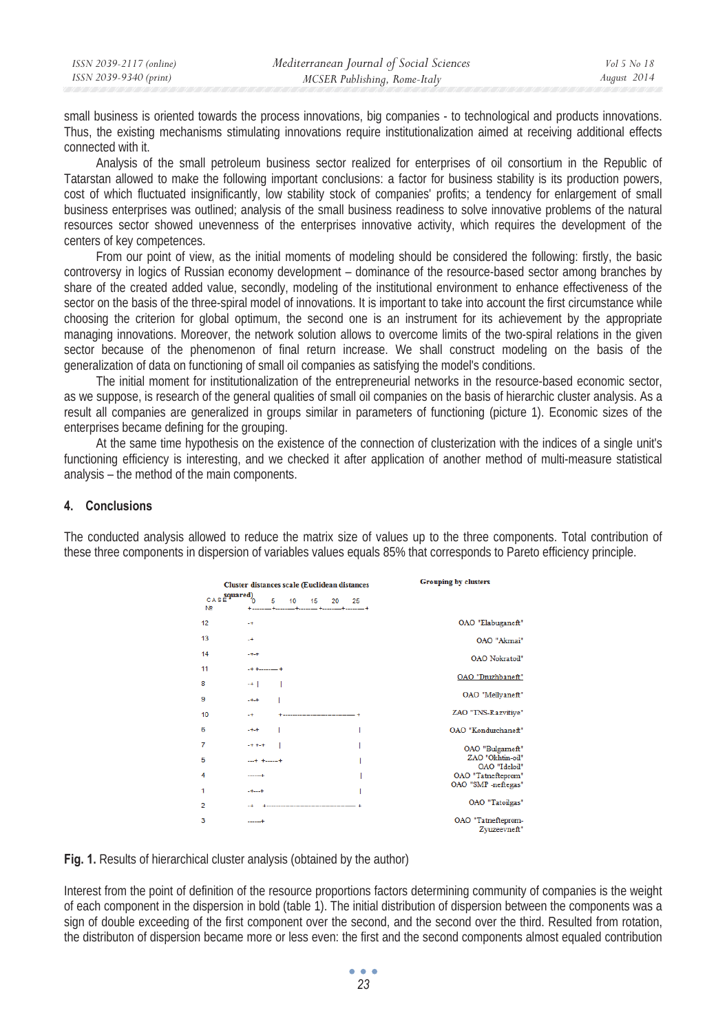| ISSN 2039-9340 (print)<br>MCSER Publishing, Rome-Italy | ISSN 2039-2117 (online) | Mediterranean Journal of Social Sciences | Vol 5 No 18 |
|--------------------------------------------------------|-------------------------|------------------------------------------|-------------|
|                                                        |                         |                                          | August 2014 |

small business is oriented towards the process innovations, big companies - to technological and products innovations. Thus, the existing mechanisms stimulating innovations require institutionalization aimed at receiving additional effects connected with it.

Analysis of the small petroleum business sector realized for enterprises of oil consortium in the Republic of Tatarstan allowed to make the following important conclusions: a factor for business stability is its production powers, cost of which fluctuated insignificantly, low stability stock of companies' profits; a tendency for enlargement of small business enterprises was outlined; analysis of the small business readiness to solve innovative problems of the natural resources sector showed unevenness of the enterprises innovative activity, which requires the development of the centers of key competences.

From our point of view, as the initial moments of modeling should be considered the following: firstly, the basic controversy in logics of Russian economy development – dominance of the resource-based sector among branches by share of the created added value, secondly, modeling of the institutional environment to enhance effectiveness of the sector on the basis of the three-spiral model of innovations. It is important to take into account the first circumstance while choosing the criterion for global optimum, the second one is an instrument for its achievement by the appropriate managing innovations. Moreover, the network solution allows to overcome limits of the two-spiral relations in the given sector because of the phenomenon of final return increase. We shall construct modeling on the basis of the generalization of data on functioning of small oil companies as satisfying the model's conditions.

The initial moment for institutionalization of the entrepreneurial networks in the resource-based economic sector, as we suppose, is research of the general qualities of small oil companies on the basis of hierarchic cluster analysis. As a result all companies are generalized in groups similar in parameters of functioning (picture 1). Economic sizes of the enterprises became defining for the grouping.

At the same time hypothesis on the existence of the connection of clusterization with the indices of a single unit's functioning efficiency is interesting, and we checked it after application of another method of multi-measure statistical analysis – the method of the main components.

## **4. Conclusions**

The conducted analysis allowed to reduce the matrix size of values up to the three components. Total contribution of these three components in dispersion of variables values equals 85% that corresponds to Pareto efficiency principle.

|                                | Cluster distances scale (Euclidean distances |                  |    |    |    | <b>Grouping by clusters</b>        |
|--------------------------------|----------------------------------------------|------------------|----|----|----|------------------------------------|
| CASE quared)<br>N <sub>2</sub> | 5                                            | 10 <sup>10</sup> | 15 | 20 | 25 |                                    |
| 12                             | $-+$                                         |                  |    |    |    | OAO "Elabuganeft"                  |
| 13                             | $+$                                          |                  |    |    |    | OAO "Akmai"                        |
| 14                             | $+ +$                                        |                  |    |    |    | OAO Nokratoil"                     |
| 11                             | $-+$ + $ -$ +                                |                  |    |    |    | OAO "Druzhbaneft"                  |
| 8                              | $+$                                          |                  |    |    |    |                                    |
| 9                              | $+ +$                                        |                  |    |    |    | OAO "Mellyaneft"                   |
| 10                             | $+$                                          |                  |    |    |    | ZAO "TNS-Razvitiye"                |
| 6                              | $+ +$                                        |                  |    |    |    | OAO "Kondurchaneft"                |
| 7                              | $-1 + 1 + 1 = 1$                             |                  |    |    |    | OAO "Bulgameft"                    |
| 5                              | $ + + +$                                     |                  |    |    |    | ZAO "Okhtin-oil"                   |
|                                |                                              |                  |    |    |    | OAO "Ideloil"                      |
| 4                              | -----+                                       |                  |    |    |    | OAO "Tatnefteprom"                 |
| 1                              | $+ + - +$                                    |                  |    |    |    | OAO "SMP -neftegas"                |
| $\overline{2}$                 |                                              |                  |    |    |    | OAO "Tatoilgas"                    |
| 3                              |                                              |                  |    |    |    | OAO "Tatnefteprom-<br>Zvuzeevneft" |

**Fig. 1.** Results of hierarchical cluster analysis (obtained by the author)

Interest from the point of definition of the resource proportions factors determining community of companies is the weight of each component in the dispersion in bold (table 1). The initial distribution of dispersion between the components was a sign of double exceeding of the first component over the second, and the second over the third. Resulted from rotation, the distributon of dispersion became more or less even: the first and the second components almost equaled contribution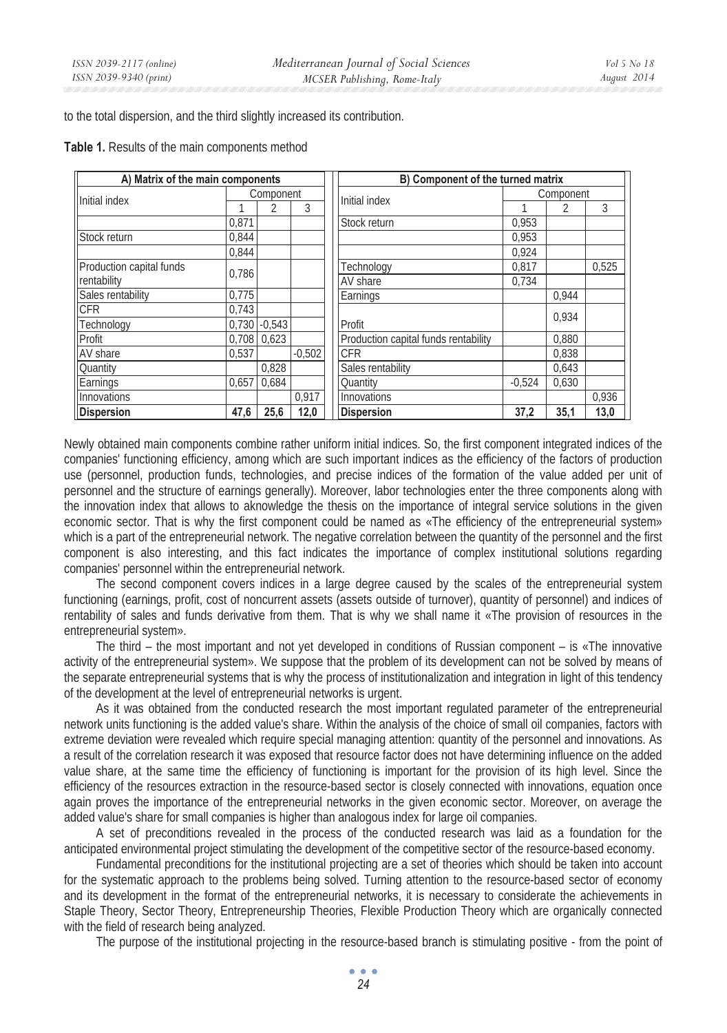to the total dispersion, and the third slightly increased its contribution.

| A) Matrix of the main components |           |                 |          | B) Component of the turned matrix |                                      |           |       |       |
|----------------------------------|-----------|-----------------|----------|-----------------------------------|--------------------------------------|-----------|-------|-------|
| Initial index                    | Component |                 |          |                                   | Initial index                        | Component |       |       |
|                                  |           |                 | 3        |                                   |                                      |           |       | 3     |
|                                  | 0,871     |                 |          |                                   | Stock return                         | 0.953     |       |       |
| Stock return                     | 0,844     |                 |          |                                   |                                      | 0.953     |       |       |
|                                  | 0.844     |                 |          |                                   |                                      | 0.924     |       |       |
| Production capital funds         | 0.786     |                 |          |                                   | Technology                           | 0.817     |       | 0.525 |
| rentability                      |           |                 |          |                                   | AV share                             | 0.734     |       |       |
| Sales rentability                | 0.775     |                 |          |                                   | Earnings                             |           | 0.944 |       |
| <b>CFR</b>                       | 0.743     |                 |          |                                   |                                      |           | 0.934 |       |
| Technology                       |           | $0.730 - 0.543$ |          |                                   | Profit                               |           |       |       |
| Profit                           | 0.708     | 0,623           |          |                                   | Production capital funds rentability |           | 0.880 |       |
| AV share                         | 0.537     |                 | $-0.502$ |                                   | <b>CFR</b>                           |           | 0.838 |       |
| <b>Quantity</b>                  |           | 0.828           |          |                                   | Sales rentability                    |           | 0,643 |       |
| Earnings                         | 0,657     | 0.684           |          |                                   | Quantity                             | $-0.524$  | 0,630 |       |
| Innovations                      |           |                 | 0.917    |                                   | Innovations                          |           |       | 0,936 |
| <b>Dispersion</b>                | 47,6      | 25,6            | 12,0     |                                   | <b>Dispersion</b>                    | 37,2      | 35,1  | 13,0  |

# **Table 1.** Results of the main components method

Newly obtained main components combine rather uniform initial indices. So, the first component integrated indices of the companies' functioning efficiency, among which are such important indices as the efficiency of the factors of production use (personnel, production funds, technologies, and precise indices of the formation of the value added per unit of personnel and the structure of earnings generally). Moreover, labor technologies enter the three components along with the innovation index that allows to aknowledge the thesis on the importance of integral service solutions in the given economic sector. That is why the first component could be named as «The efficiency of the entrepreneurial system» which is a part of the entrepreneurial network. The negative correlation between the quantity of the personnel and the first component is also interesting, and this fact indicates the importance of complex institutional solutions regarding companies' personnel within the entrepreneurial network.

The second component covers indices in a large degree caused by the scales of the entrepreneurial system functioning (earnings, profit, cost of noncurrent assets (assets outside of turnover), quantity of personnel) and indices of rentability of sales and funds derivative from them. That is why we shall name it «The provision of resources in the entrepreneurial system».

The third – the most important and not yet developed in conditions of Russian component – is «The innovative activity of the entrepreneurial system». We suppose that the problem of its development can not be solved by means of the separate entrepreneurial systems that is why the process of institutionalization and integration in light of this tendency of the development at the level of entrepreneurial networks is urgent.

As it was obtained from the conducted research the most important regulated parameter of the entrepreneurial network units functioning is the added value's share. Within the analysis of the choice of small oil companies, factors with extreme deviation were revealed which require special managing attention: quantity of the personnel and innovations. As a result of the correlation research it was exposed that resource factor does not have determining influence on the added value share, at the same time the efficiency of functioning is important for the provision of its high level. Since the efficiency of the resources extraction in the resource-based sector is closely connected with innovations, equation once again proves the importance of the entrepreneurial networks in the given economic sector. Moreover, on average the added value's share for small companies is higher than analogous index for large oil companies.

A set of preconditions revealed in the process of the conducted research was laid as a foundation for the anticipated environmental project stimulating the development of the competitive sector of the resource-based economy.

Fundamental preconditions for the institutional projecting are a set of theories which should be taken into account for the systematic approach to the problems being solved. Turning attention to the resource-based sector of economy and its development in the format of the entrepreneurial networks, it is necessary to considerate the achievements in Staple Theory, Sector Theory, Entrepreneurship Theories, Flexible Production Theory which are organically connected with the field of research being analyzed.

The purpose of the institutional projecting in the resource-based branch is stimulating positive - from the point of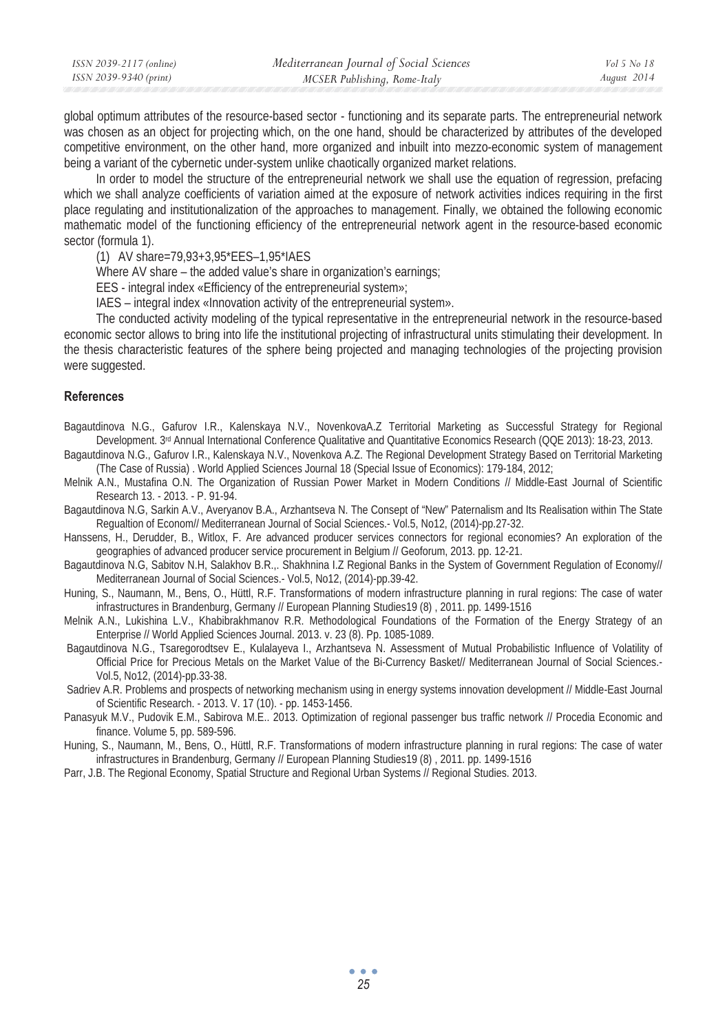| ISSN 2039-2117 (online) | Mediterranean Journal of Social Sciences | Vol 5 No 18 |
|-------------------------|------------------------------------------|-------------|
| ISSN 2039-9340 (print)  | MCSER Publishing, Rome-Italy             | August 2014 |

global optimum attributes of the resource-based sector - functioning and its separate parts. The entrepreneurial network was chosen as an object for projecting which, on the one hand, should be characterized by attributes of the developed competitive environment, on the other hand, more organized and inbuilt into mezzo-economic system of management being a variant of the cybernetic under-system unlike chaotically organized market relations.

In order to model the structure of the entrepreneurial network we shall use the equation of regression, prefacing which we shall analyze coefficients of variation aimed at the exposure of network activities indices requiring in the first place regulating and institutionalization of the approaches to management. Finally, we obtained the following economic mathematic model of the functioning efficiency of the entrepreneurial network agent in the resource-based economic sector (formula 1).

(1) AV share=79,93+3,95\*EES–1,95\*IAES

Where AV share – the added value's share in organization's earnings;

EES - integral index «Efficiency of the entrepreneurial system»;

IAES – integral index «Innovation activity of the entrepreneurial system».

The conducted activity modeling of the typical representative in the entrepreneurial network in the resource-based economic sector allows to bring into life the institutional projecting of infrastructural units stimulating their development. In the thesis characteristic features of the sphere being projected and managing technologies of the projecting provision were suggested.

## **References**

Bagautdinova N.G., Gafurov I.R., Kalenskaya N.V., NovenkovaA.Z Territorial Marketing as Successful Strategy for Regional Development. 3rd Annual International Conference Qualitative and Quantitative Economics Research (QQE 2013): 18-23, 2013.

Bagautdinova N.G., Gafurov I.R., Kalenskaya N.V., Novenkova A.Z. The Regional Development Strategy Based on Territorial Marketing (The Case of Russia) . World Applied Sciences Journal 18 (Special Issue of Economics): 179-184, 2012;

- Melnik A.N., Mustafina O.N. The Organization of Russian Power Market in Modern Conditions // Middle-East Journal of Scientific Research 13. - 2013. - P. 91-94.
- Bagautdinova N.G, Sarkin A.V., Averyanov B.A., Arzhantseva N. The Consept of "New" Paternalism and Its Realisation within The State Regualtion of Econom// Mediterranean Journal of Social Sciences.- Vol.5, No12, (2014)-pp.27-32.

Hanssens, H., Derudder, B., Witlox, F. Are advanced producer services connectors for regional economies? An exploration of the geographies of advanced producer service procurement in Belgium // Geoforum, 2013. pp. 12-21.

Bagautdinova N.G, Sabitov N.H, Salakhov B.R.,. Shakhnina I.Z Regional Banks in the System of Government Regulation of Economy// Mediterranean Journal of Social Sciences.- Vol.5, No12, (2014)-pp.39-42.

Huning, S., Naumann, M., Bens, O., Hüttl, R.F. Transformations of modern infrastructure planning in rural regions: The case of water infrastructures in Brandenburg, Germany // European Planning Studies19 (8) , 2011. pp. 1499-1516

Melnik A.N., Lukishina L.V., Khabibrakhmanov R.R. Methodological Foundations of the Formation of the Energy Strategy of an Enterprise // World Applied Sciences Journal. 2013. v. 23 (8). Pp. 1085-1089.

 Bagautdinova N.G., Tsaregorodtsev E., Kulalayeva I., Arzhantseva N. Assessment of Mutual Probabilistic Influence of Volatility of Official Price for Precious Metals on the Market Value of the Bi-Currency Basket// Mediterranean Journal of Social Sciences.- Vol.5, No12, (2014)-pp.33-38.

 Sadriev A.R. Problems and prospects of networking mechanism using in energy systems innovation development // Middle-East Journal of Scientific Research. - 2013. V. 17 (10). - pp. 1453-1456.

Panasyuk M.V., Pudovik E.M., Sabirova M.E.. 2013. Optimization of regional passenger bus traffic network // Procedia Economic and finance. Volume 5, pp. 589-596.

Huning, S., Naumann, M., Bens, O., Hüttl, R.F. Transformations of modern infrastructure planning in rural regions: The case of water infrastructures in Brandenburg, Germany // European Planning Studies19 (8) , 2011. pp. 1499-1516

Parr, J.B. The Regional Economy, Spatial Structure and Regional Urban Systems // Regional Studies. 2013.